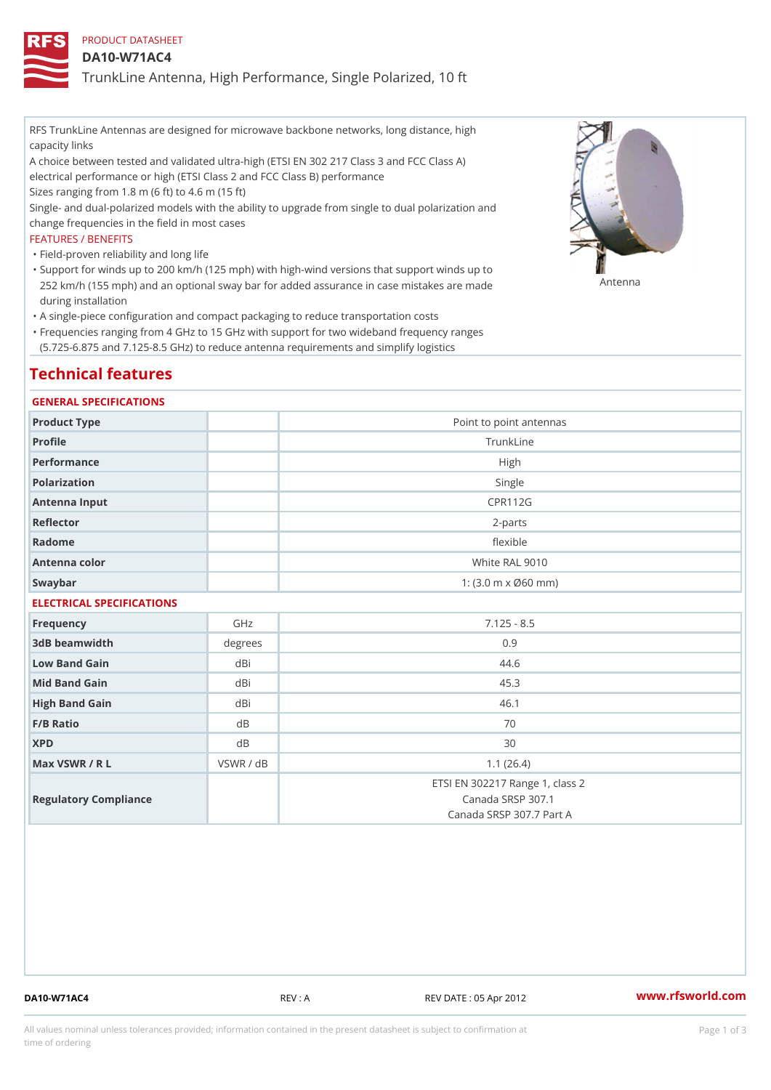## PRODUCT DATASHEET

### DA10-W71AC4

TrunkLine Antenna, High Performance, Single Polarized, 10 ft

RFS TrunkLine Antennas are designed for microwave backbone networks, long distance, high capacity links

A choice between tested and validated ultra-high (ETSI EN 302 217 Class 3 and FCC Class A) electrical performance or high (ETSI Class 2 and FCC Class B) performance

Sizes ranging from 1.8 m (6 ft) to 4.6 m (15 ft)

Single- and dual-polarized models with the ability to upgrade from single to dual polarization and change frequencies in the field in most cases

#### FEATURES / BENEFITS

"Field-proven reliability and long life

- Support for winds up to 200 km/h (125 mph) with high-wind versions that support winds up to " 252 km/h (155 mph) and an optional sway bar for added assurance in case m S # \$ R & B are made during installation
- "A single-piece configuration and compact packaging to reduce transportation costs
- Frequencies ranging from 4 GHz to 15 GHz with support for two wideband frequency ranges " (5.725-6.875 and 7.125-8.5 GHz) to reduce antenna requirements and simplify logistics

# Technical features

#### GENERAL SPECIFICATIONS

| Product Type  | Point to point antennas                                 |
|---------------|---------------------------------------------------------|
| Profile       | TrunkLine                                               |
| Performance   | High                                                    |
| Polarization  | Single                                                  |
| Antenna Input | <b>CPR112G</b>                                          |
| Reflector     | $2 - p$ arts                                            |
| Radome        | flexible                                                |
| Antenna color | White RAL 9010                                          |
| Swaybar       | 1: $(3.0 \, \text{m} \times \emptyset 60 \, \text{mm})$ |

## ELECTRICAL SPECIFICATIONS

| Frequency             | GHz       | $7.125 - 8.5$                                                                    |
|-----------------------|-----------|----------------------------------------------------------------------------------|
| 3dB beamwidth         | degree    | 0.9                                                                              |
| Low Band Gain         | dBi       | 44.6                                                                             |
| Mid Band Gain         | dBi       | 45.3                                                                             |
| High Band Gain        | dBi       | 46.1                                                                             |
| $F/B$ Ratio           | d B       | 70                                                                               |
| <b>XPD</b>            | d B       | 30                                                                               |
| Max VSWR / R L        | VSWR / dB | 1.1(26.4)                                                                        |
| Regulatory Compliance |           | ETSI EN 302217 Range 1, class 2<br>Canada SRSP 307.1<br>Canada SRSP 307.7 Part A |

DA10-W71AC4 REV : A REV DATE : 05 Apr 2012 [www.](https://www.rfsworld.com)rfsworld.com

All values nominal unless tolerances provided; information contained in the present datasheet is subject to Pcapgeign mation time of ordering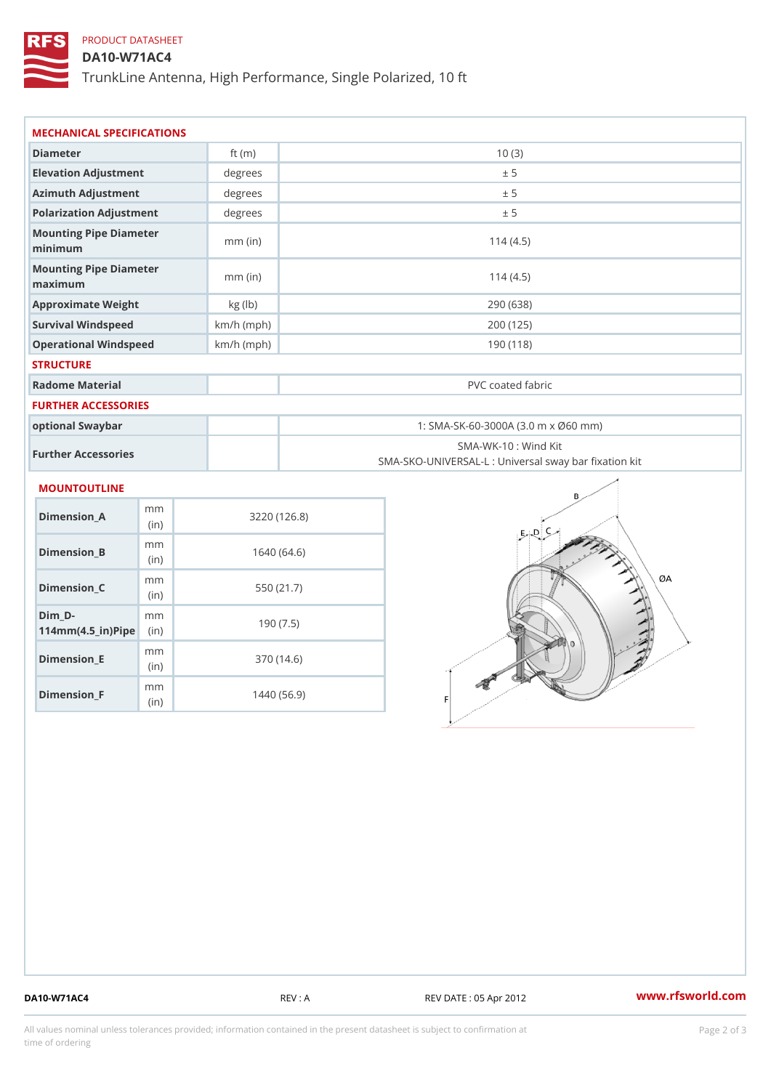# PRODUCT DATASHEET

DA10-W71AC4

TrunkLine Antenna, High Performance, Single Polarized, 10 ft

| MECHANICAL SPECIFICATIONS                                            |              |                                                                          |  |
|----------------------------------------------------------------------|--------------|--------------------------------------------------------------------------|--|
| Diameter                                                             | ft $(m)$     | 10(3)                                                                    |  |
| Elevation Adjustment                                                 | degree       | ± 5                                                                      |  |
| Azimuth Adjustment                                                   | degree:      | ± 5                                                                      |  |
| Polarization Adjustment                                              | degrees      | ± 5                                                                      |  |
| Mounting Pipe Diameter<br>minimum                                    | $mm$ (in)    | 114(4.5)                                                                 |  |
| Mounting Pipe Diameter<br>maximum                                    | $mm$ (in)    | 114(4.5)                                                                 |  |
| Approximate Weight                                                   | kg (lb)      | 290 (638)                                                                |  |
| Survival Windspeed                                                   | $km/h$ (mph) | 200 (125)                                                                |  |
| Operational Windspeed                                                | $km/h$ (mph) | 190 (118)                                                                |  |
| <b>STRUCTURE</b>                                                     |              |                                                                          |  |
| Radome Material                                                      |              | PVC coated fabric                                                        |  |
| FURTHER ACCESSORIES                                                  |              |                                                                          |  |
| optional Swaybar                                                     |              | 1: SMA-SK-60-3000A (3.0 m x Ø60 mm)                                      |  |
| Further Accessories                                                  |              | SMA-WK-10: Wind Kit<br>SMA-SKO-UNIVERSAL-L : Universal sway bar fixation |  |
| MOUNTOUTLINE                                                         |              |                                                                          |  |
| m m<br>Dimension_A<br>(in)                                           |              | 3220(126.8)                                                              |  |
| m m<br>$Dimension_B$<br>(in)                                         |              | 1640(64.6)                                                               |  |
| m m<br>$Dimension_C$<br>(in)                                         |              | 550 (21.7)                                                               |  |
| $Dim_D - D -$<br>m <sub>m</sub><br>$114$ m m $(4.5$ ir $)$ $R$ imple |              | 190(7.5)                                                                 |  |

Dimension\_F m<sub>m</sub> (in) 1440 (56.9)

mm (in)

Dimension\_E

370 (14.6)

DA10-W71AC4 REV : A REV DATE : 05 Apr 2012 [www.](https://www.rfsworld.com)rfsworld.com